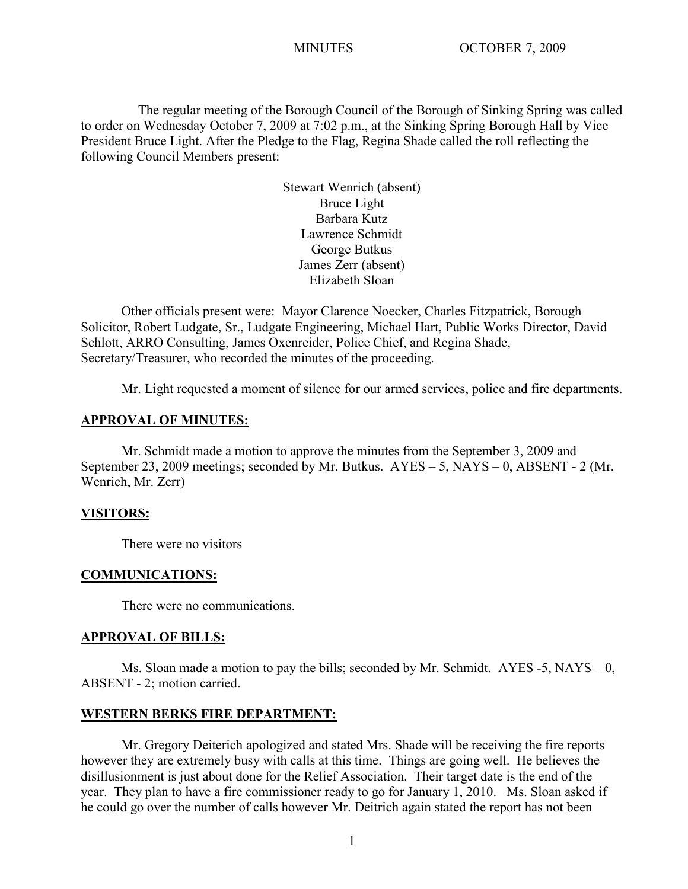The regular meeting of the Borough Council of the Borough of Sinking Spring was called to order on Wednesday October 7, 2009 at 7:02 p.m., at the Sinking Spring Borough Hall by Vice President Bruce Light. After the Pledge to the Flag, Regina Shade called the roll reflecting the following Council Members present:

> Stewart Wenrich (absent) Bruce Light Barbara Kutz Lawrence Schmidt George Butkus James Zerr (absent) Elizabeth Sloan

Other officials present were: Mayor Clarence Noecker, Charles Fitzpatrick, Borough Solicitor, Robert Ludgate, Sr., Ludgate Engineering, Michael Hart, Public Works Director, David Schlott, ARRO Consulting, James Oxenreider, Police Chief, and Regina Shade, Secretary/Treasurer, who recorded the minutes of the proceeding.

Mr. Light requested a moment of silence for our armed services, police and fire departments.

## **APPROVAL OF MINUTES:**

Mr. Schmidt made a motion to approve the minutes from the September 3, 2009 and September 23, 2009 meetings; seconded by Mr. Butkus. AYES – 5, NAYS – 0, ABSENT - 2 (Mr. Wenrich, Mr. Zerr)

#### **VISITORS:**

There were no visitors

#### **COMMUNICATIONS:**

There were no communications.

## **APPROVAL OF BILLS:**

Ms. Sloan made a motion to pay the bills; seconded by Mr. Schmidt. AYES -5, NAYS – 0, ABSENT - 2; motion carried.

## **WESTERN BERKS FIRE DEPARTMENT:**

Mr. Gregory Deiterich apologized and stated Mrs. Shade will be receiving the fire reports however they are extremely busy with calls at this time. Things are going well. He believes the disillusionment is just about done for the Relief Association. Their target date is the end of the year. They plan to have a fire commissioner ready to go for January 1, 2010. Ms. Sloan asked if he could go over the number of calls however Mr. Deitrich again stated the report has not been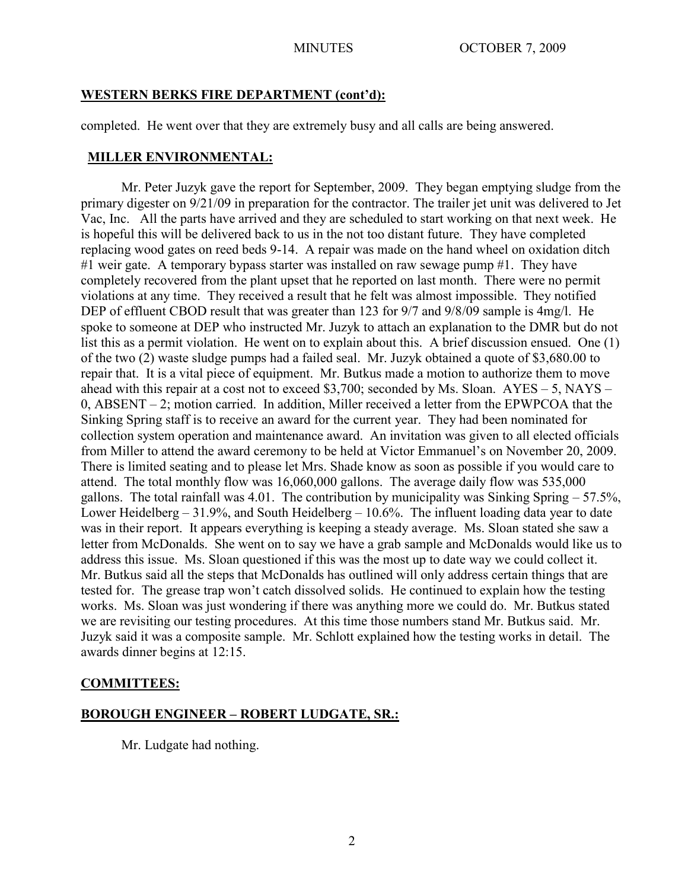## **WESTERN BERKS FIRE DEPARTMENT (cont'd):**

completed. He went over that they are extremely busy and all calls are being answered.

# **MILLER ENVIRONMENTAL:**

Mr. Peter Juzyk gave the report for September, 2009. They began emptying sludge from the primary digester on 9/21/09 in preparation for the contractor. The trailer jet unit was delivered to Jet Vac, Inc. All the parts have arrived and they are scheduled to start working on that next week. He is hopeful this will be delivered back to us in the not too distant future. They have completed replacing wood gates on reed beds 9-14. A repair was made on the hand wheel on oxidation ditch #1 weir gate. A temporary bypass starter was installed on raw sewage pump #1. They have completely recovered from the plant upset that he reported on last month. There were no permit violations at any time. They received a result that he felt was almost impossible. They notified DEP of effluent CBOD result that was greater than 123 for 9/7 and 9/8/09 sample is 4mg/l. He spoke to someone at DEP who instructed Mr. Juzyk to attach an explanation to the DMR but do not list this as a permit violation. He went on to explain about this. A brief discussion ensued. One (1) of the two (2) waste sludge pumps had a failed seal. Mr. Juzyk obtained a quote of \$3,680.00 to repair that. It is a vital piece of equipment. Mr. Butkus made a motion to authorize them to move ahead with this repair at a cost not to exceed \$3,700; seconded by Ms. Sloan. AYES – 5, NAYS – 0, ABSENT – 2; motion carried. In addition, Miller received a letter from the EPWPCOA that the Sinking Spring staff is to receive an award for the current year. They had been nominated for collection system operation and maintenance award. An invitation was given to all elected officials from Miller to attend the award ceremony to be held at Victor Emmanuel's on November 20, 2009. There is limited seating and to please let Mrs. Shade know as soon as possible if you would care to attend. The total monthly flow was 16,060,000 gallons. The average daily flow was 535,000 gallons. The total rainfall was  $4.01$ . The contribution by municipality was Sinking Spring  $-57.5\%$ , Lower Heidelberg – 31.9%, and South Heidelberg – 10.6%. The influent loading data year to date was in their report. It appears everything is keeping a steady average. Ms. Sloan stated she saw a letter from McDonalds. She went on to say we have a grab sample and McDonalds would like us to address this issue. Ms. Sloan questioned if this was the most up to date way we could collect it. Mr. Butkus said all the steps that McDonalds has outlined will only address certain things that are tested for. The grease trap won't catch dissolved solids. He continued to explain how the testing works. Ms. Sloan was just wondering if there was anything more we could do. Mr. Butkus stated we are revisiting our testing procedures. At this time those numbers stand Mr. Butkus said. Mr. Juzyk said it was a composite sample. Mr. Schlott explained how the testing works in detail. The awards dinner begins at 12:15.

# **COMMITTEES:**

# **BOROUGH ENGINEER – ROBERT LUDGATE, SR.:**

Mr. Ludgate had nothing.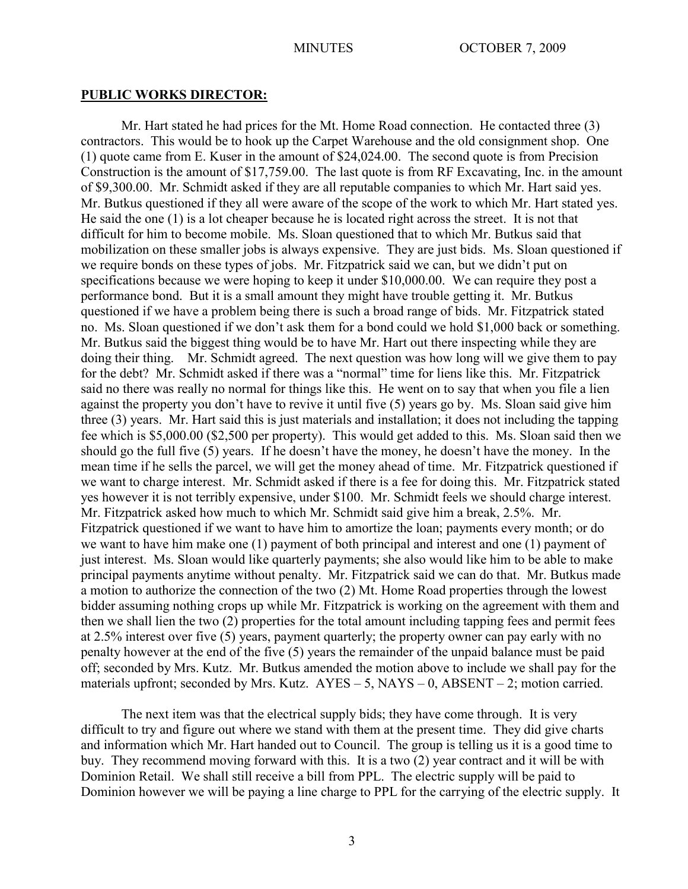#### **PUBLIC WORKS DIRECTOR:**

Mr. Hart stated he had prices for the Mt. Home Road connection. He contacted three (3) contractors. This would be to hook up the Carpet Warehouse and the old consignment shop. One (1) quote came from E. Kuser in the amount of \$24,024.00. The second quote is from Precision Construction is the amount of \$17,759.00. The last quote is from RF Excavating, Inc. in the amount of \$9,300.00. Mr. Schmidt asked if they are all reputable companies to which Mr. Hart said yes. Mr. Butkus questioned if they all were aware of the scope of the work to which Mr. Hart stated yes. He said the one (1) is a lot cheaper because he is located right across the street. It is not that difficult for him to become mobile. Ms. Sloan questioned that to which Mr. Butkus said that mobilization on these smaller jobs is always expensive. They are just bids. Ms. Sloan questioned if we require bonds on these types of jobs. Mr. Fitzpatrick said we can, but we didn't put on specifications because we were hoping to keep it under \$10,000.00. We can require they post a performance bond. But it is a small amount they might have trouble getting it. Mr. Butkus questioned if we have a problem being there is such a broad range of bids. Mr. Fitzpatrick stated no. Ms. Sloan questioned if we don't ask them for a bond could we hold \$1,000 back or something. Mr. Butkus said the biggest thing would be to have Mr. Hart out there inspecting while they are doing their thing. Mr. Schmidt agreed. The next question was how long will we give them to pay for the debt? Mr. Schmidt asked if there was a "normal" time for liens like this. Mr. Fitzpatrick said no there was really no normal for things like this. He went on to say that when you file a lien against the property you don't have to revive it until five (5) years go by. Ms. Sloan said give him three (3) years. Mr. Hart said this is just materials and installation; it does not including the tapping fee which is \$5,000.00 (\$2,500 per property). This would get added to this. Ms. Sloan said then we should go the full five (5) years. If he doesn't have the money, he doesn't have the money. In the mean time if he sells the parcel, we will get the money ahead of time. Mr. Fitzpatrick questioned if we want to charge interest. Mr. Schmidt asked if there is a fee for doing this. Mr. Fitzpatrick stated yes however it is not terribly expensive, under \$100. Mr. Schmidt feels we should charge interest. Mr. Fitzpatrick asked how much to which Mr. Schmidt said give him a break, 2.5%. Mr. Fitzpatrick questioned if we want to have him to amortize the loan; payments every month; or do we want to have him make one (1) payment of both principal and interest and one (1) payment of just interest. Ms. Sloan would like quarterly payments; she also would like him to be able to make principal payments anytime without penalty. Mr. Fitzpatrick said we can do that. Mr. Butkus made a motion to authorize the connection of the two (2) Mt. Home Road properties through the lowest bidder assuming nothing crops up while Mr. Fitzpatrick is working on the agreement with them and then we shall lien the two (2) properties for the total amount including tapping fees and permit fees at 2.5% interest over five (5) years, payment quarterly; the property owner can pay early with no penalty however at the end of the five (5) years the remainder of the unpaid balance must be paid off; seconded by Mrs. Kutz. Mr. Butkus amended the motion above to include we shall pay for the materials upfront; seconded by Mrs. Kutz.  $AYES - 5$ ,  $NAYS - 0$ ,  $ABSENT - 2$ ; motion carried.

The next item was that the electrical supply bids; they have come through. It is very difficult to try and figure out where we stand with them at the present time. They did give charts and information which Mr. Hart handed out to Council. The group is telling us it is a good time to buy. They recommend moving forward with this. It is a two (2) year contract and it will be with Dominion Retail. We shall still receive a bill from PPL. The electric supply will be paid to Dominion however we will be paying a line charge to PPL for the carrying of the electric supply. It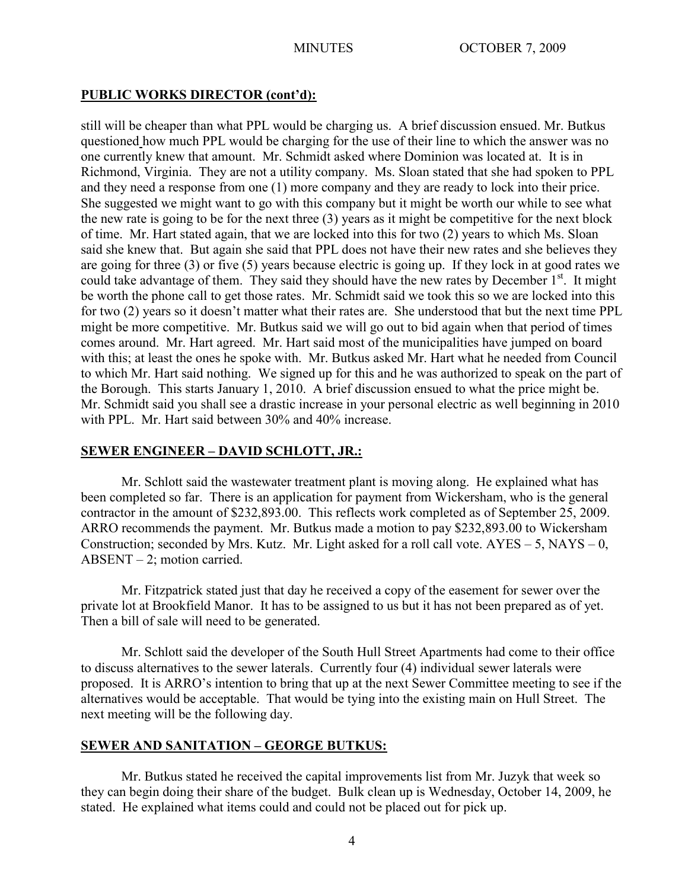## **PUBLIC WORKS DIRECTOR (cont'd):**

still will be cheaper than what PPL would be charging us. A brief discussion ensued. Mr. Butkus questioned how much PPL would be charging for the use of their line to which the answer was no one currently knew that amount. Mr. Schmidt asked where Dominion was located at. It is in Richmond, Virginia. They are not a utility company. Ms. Sloan stated that she had spoken to PPL and they need a response from one (1) more company and they are ready to lock into their price. She suggested we might want to go with this company but it might be worth our while to see what the new rate is going to be for the next three (3) years as it might be competitive for the next block of time. Mr. Hart stated again, that we are locked into this for two (2) years to which Ms. Sloan said she knew that. But again she said that PPL does not have their new rates and she believes they are going for three (3) or five (5) years because electric is going up. If they lock in at good rates we could take advantage of them. They said they should have the new rates by December  $1<sup>st</sup>$ . It might be worth the phone call to get those rates. Mr. Schmidt said we took this so we are locked into this for two (2) years so it doesn't matter what their rates are. She understood that but the next time PPL might be more competitive. Mr. Butkus said we will go out to bid again when that period of times comes around. Mr. Hart agreed. Mr. Hart said most of the municipalities have jumped on board with this; at least the ones he spoke with. Mr. Butkus asked Mr. Hart what he needed from Council to which Mr. Hart said nothing. We signed up for this and he was authorized to speak on the part of the Borough. This starts January 1, 2010. A brief discussion ensued to what the price might be. Mr. Schmidt said you shall see a drastic increase in your personal electric as well beginning in 2010 with PPL. Mr. Hart said between 30% and 40% increase.

## **SEWER ENGINEER – DAVID SCHLOTT, JR.:**

Mr. Schlott said the wastewater treatment plant is moving along. He explained what has been completed so far. There is an application for payment from Wickersham, who is the general contractor in the amount of \$232,893.00. This reflects work completed as of September 25, 2009. ARRO recommends the payment. Mr. Butkus made a motion to pay \$232,893.00 to Wickersham Construction; seconded by Mrs. Kutz. Mr. Light asked for a roll call vote.  $AYES - 5$ ,  $NAYS - 0$ ,  $ABSENT - 2$ ; motion carried.

Mr. Fitzpatrick stated just that day he received a copy of the easement for sewer over the private lot at Brookfield Manor. It has to be assigned to us but it has not been prepared as of yet. Then a bill of sale will need to be generated.

Mr. Schlott said the developer of the South Hull Street Apartments had come to their office to discuss alternatives to the sewer laterals. Currently four (4) individual sewer laterals were proposed. It is ARRO's intention to bring that up at the next Sewer Committee meeting to see if the alternatives would be acceptable. That would be tying into the existing main on Hull Street. The next meeting will be the following day.

## **SEWER AND SANITATION – GEORGE BUTKUS:**

Mr. Butkus stated he received the capital improvements list from Mr. Juzyk that week so they can begin doing their share of the budget. Bulk clean up is Wednesday, October 14, 2009, he stated. He explained what items could and could not be placed out for pick up.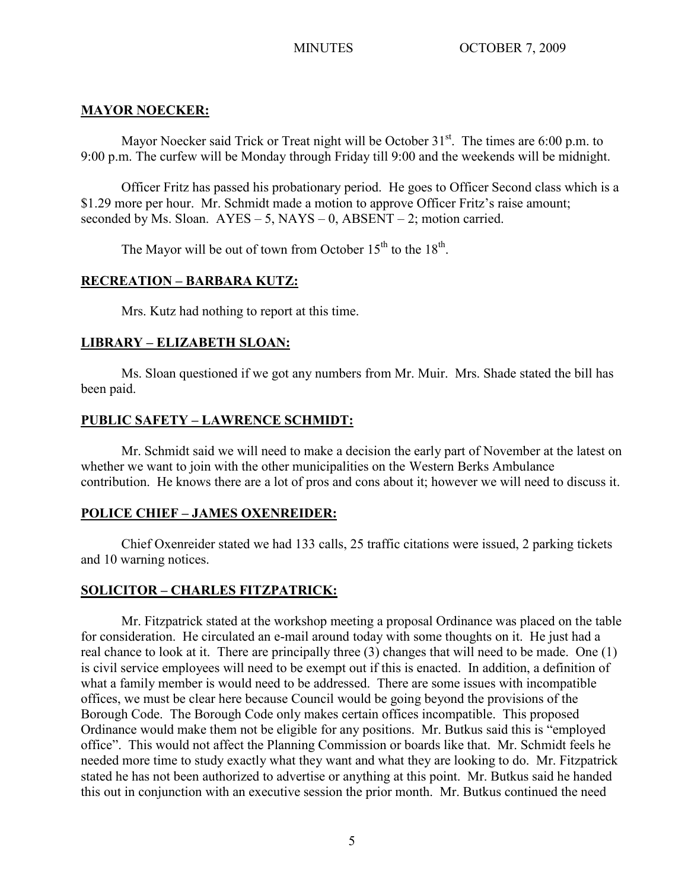# **MAYOR NOECKER:**

Mayor Noecker said Trick or Treat night will be October  $31<sup>st</sup>$ . The times are 6:00 p.m. to 9:00 p.m. The curfew will be Monday through Friday till 9:00 and the weekends will be midnight.

Officer Fritz has passed his probationary period. He goes to Officer Second class which is a \$1.29 more per hour. Mr. Schmidt made a motion to approve Officer Fritz's raise amount; seconded by Ms. Sloan.  $AYES - 5$ ,  $NAYS - 0$ ,  $ABSENT - 2$ ; motion carried.

The Mayor will be out of town from October  $15<sup>th</sup>$  to the  $18<sup>th</sup>$ .

# **RECREATION – BARBARA KUTZ:**

Mrs. Kutz had nothing to report at this time.

# **LIBRARY – ELIZABETH SLOAN:**

Ms. Sloan questioned if we got any numbers from Mr. Muir. Mrs. Shade stated the bill has been paid.

# **PUBLIC SAFETY – LAWRENCE SCHMIDT:**

Mr. Schmidt said we will need to make a decision the early part of November at the latest on whether we want to join with the other municipalities on the Western Berks Ambulance contribution. He knows there are a lot of pros and cons about it; however we will need to discuss it.

# **POLICE CHIEF – JAMES OXENREIDER:**

Chief Oxenreider stated we had 133 calls, 25 traffic citations were issued, 2 parking tickets and 10 warning notices.

# **SOLICITOR – CHARLES FITZPATRICK:**

Mr. Fitzpatrick stated at the workshop meeting a proposal Ordinance was placed on the table for consideration. He circulated an e-mail around today with some thoughts on it. He just had a real chance to look at it. There are principally three (3) changes that will need to be made. One (1) is civil service employees will need to be exempt out if this is enacted. In addition, a definition of what a family member is would need to be addressed. There are some issues with incompatible offices, we must be clear here because Council would be going beyond the provisions of the Borough Code. The Borough Code only makes certain offices incompatible. This proposed Ordinance would make them not be eligible for any positions. Mr. Butkus said this is "employed office". This would not affect the Planning Commission or boards like that. Mr. Schmidt feels he needed more time to study exactly what they want and what they are looking to do. Mr. Fitzpatrick stated he has not been authorized to advertise or anything at this point. Mr. Butkus said he handed this out in conjunction with an executive session the prior month. Mr. Butkus continued the need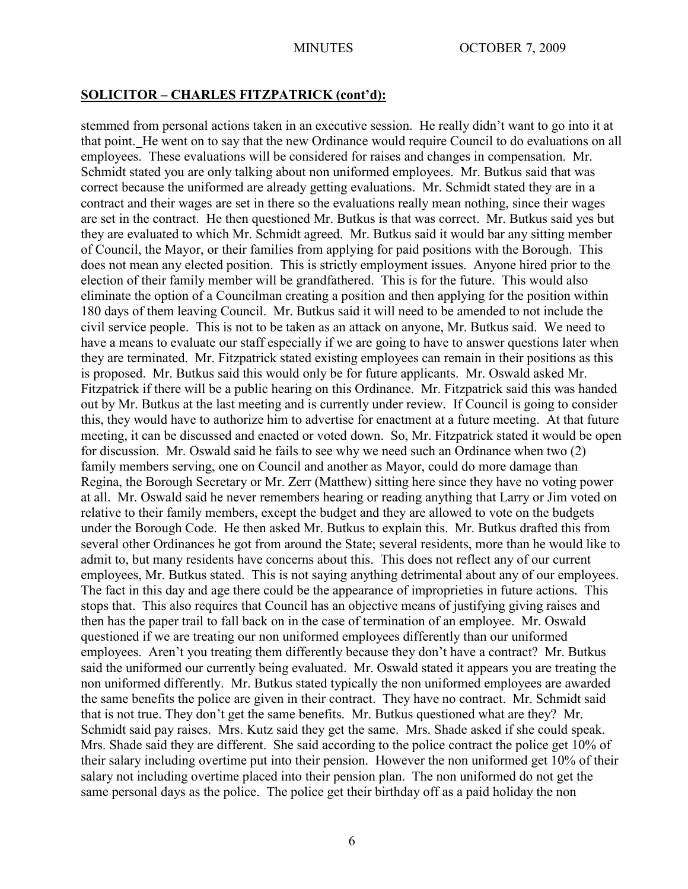stemmed from personal actions taken in an executive session. He really didn't want to go into it at that point.He went on to say that the new Ordinance would require Council to do evaluations on all employees. These evaluations will be considered for raises and changes in compensation. Mr. Schmidt stated you are only talking about non uniformed employees. Mr. Butkus said that was correct because the uniformed are already getting evaluations. Mr. Schmidt stated they are in a contract and their wages are set in there so the evaluations really mean nothing, since their wages are set in the contract. He then questioned Mr. Butkus is that was correct. Mr. Butkus said yes but they are evaluated to which Mr. Schmidt agreed. Mr. Butkus said it would bar any sitting member of Council, the Mayor, or their families from applying for paid positions with the Borough. This does not mean any elected position. This is strictly employment issues. Anyone hired prior to the election of their family member will be grandfathered. This is for the future. This would also eliminate the option of a Councilman creating a position and then applying for the position within 180 days of them leaving Council. Mr. Butkus said it will need to be amended to not include the civil service people. This is not to be taken as an attack on anyone, Mr. Butkus said. We need to have a means to evaluate our staff especially if we are going to have to answer questions later when they are terminated. Mr. Fitzpatrick stated existing employees can remain in their positions as this is proposed. Mr. Butkus said this would only be for future applicants. Mr. Oswald asked Mr. Fitzpatrick if there will be a public hearing on this Ordinance. Mr. Fitzpatrick said this was handed out by Mr. Butkus at the last meeting and is currently under review. If Council is going to consider this, they would have to authorize him to advertise for enactment at a future meeting. At that future meeting, it can be discussed and enacted or voted down. So, Mr. Fitzpatrick stated it would be open for discussion. Mr. Oswald said he fails to see why we need such an Ordinance when two (2) family members serving, one on Council and another as Mayor, could do more damage than Regina, the Borough Secretary or Mr. Zerr (Matthew) sitting here since they have no voting power at all. Mr. Oswald said he never remembers hearing or reading anything that Larry or Jim voted on relative to their family members, except the budget and they are allowed to vote on the budgets under the Borough Code. He then asked Mr. Butkus to explain this. Mr. Butkus drafted this from several other Ordinances he got from around the State; several residents, more than he would like to admit to, but many residents have concerns about this. This does not reflect any of our current employees, Mr. Butkus stated. This is not saying anything detrimental about any of our employees. The fact in this day and age there could be the appearance of improprieties in future actions. This stops that. This also requires that Council has an objective means of justifying giving raises and then has the paper trail to fall back on in the case of termination of an employee. Mr. Oswald questioned if we are treating our non uniformed employees differently than our uniformed employees. Aren't you treating them differently because they don't have a contract? Mr. Butkus said the uniformed our currently being evaluated. Mr. Oswald stated it appears you are treating the non uniformed differently. Mr. Butkus stated typically the non uniformed employees are awarded the same benefits the police are given in their contract. They have no contract. Mr. Schmidt said that is not true. They don't get the same benefits. Mr. Butkus questioned what are they? Mr. Schmidt said pay raises. Mrs. Kutz said they get the same. Mrs. Shade asked if she could speak. Mrs. Shade said they are different. She said according to the police contract the police get 10% of their salary including overtime put into their pension. However the non uniformed get 10% of their salary not including overtime placed into their pension plan. The non uniformed do not get the same personal days as the police. The police get their birthday off as a paid holiday the non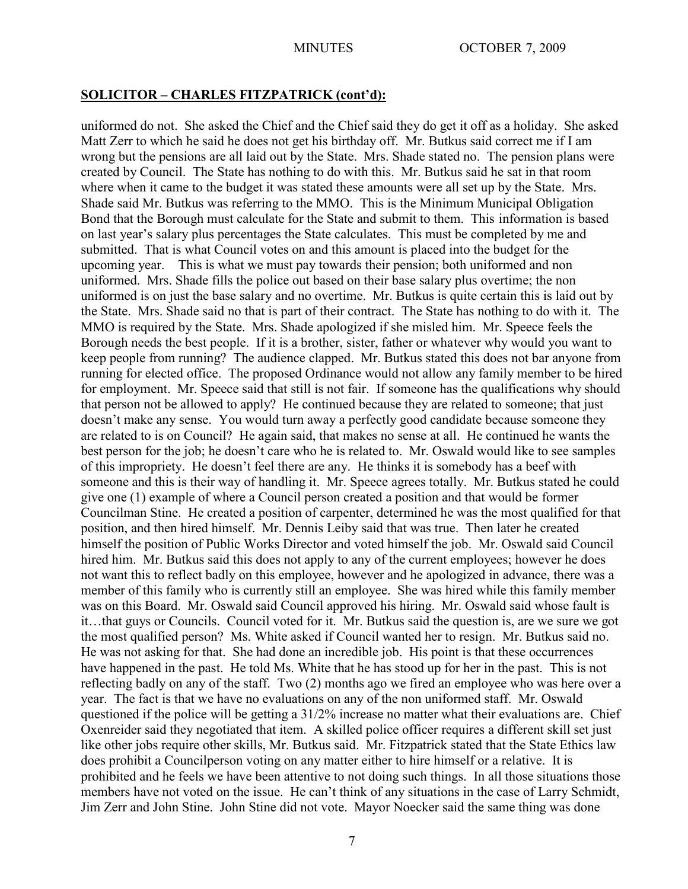uniformed do not. She asked the Chief and the Chief said they do get it off as a holiday. She asked Matt Zerr to which he said he does not get his birthday off. Mr. Butkus said correct me if I am wrong but the pensions are all laid out by the State. Mrs. Shade stated no. The pension plans were created by Council. The State has nothing to do with this. Mr. Butkus said he sat in that room where when it came to the budget it was stated these amounts were all set up by the State. Mrs. Shade said Mr. Butkus was referring to the MMO. This is the Minimum Municipal Obligation Bond that the Borough must calculate for the State and submit to them. This information is based on last year's salary plus percentages the State calculates. This must be completed by me and submitted. That is what Council votes on and this amount is placed into the budget for the upcoming year. This is what we must pay towards their pension; both uniformed and non uniformed. Mrs. Shade fills the police out based on their base salary plus overtime; the non uniformed is on just the base salary and no overtime. Mr. Butkus is quite certain this is laid out by the State. Mrs. Shade said no that is part of their contract. The State has nothing to do with it. The MMO is required by the State. Mrs. Shade apologized if she misled him. Mr. Speece feels the Borough needs the best people. If it is a brother, sister, father or whatever why would you want to keep people from running? The audience clapped. Mr. Butkus stated this does not bar anyone from running for elected office. The proposed Ordinance would not allow any family member to be hired for employment. Mr. Speece said that still is not fair. If someone has the qualifications why should that person not be allowed to apply? He continued because they are related to someone; that just doesn't make any sense. You would turn away a perfectly good candidate because someone they are related to is on Council? He again said, that makes no sense at all. He continued he wants the best person for the job; he doesn't care who he is related to. Mr. Oswald would like to see samples of this impropriety. He doesn't feel there are any. He thinks it is somebody has a beef with someone and this is their way of handling it. Mr. Speece agrees totally. Mr. Butkus stated he could give one (1) example of where a Council person created a position and that would be former Councilman Stine. He created a position of carpenter, determined he was the most qualified for that position, and then hired himself. Mr. Dennis Leiby said that was true. Then later he created himself the position of Public Works Director and voted himself the job. Mr. Oswald said Council hired him. Mr. Butkus said this does not apply to any of the current employees; however he does not want this to reflect badly on this employee, however and he apologized in advance, there was a member of this family who is currently still an employee. She was hired while this family member was on this Board. Mr. Oswald said Council approved his hiring. Mr. Oswald said whose fault is it…that guys or Councils. Council voted for it. Mr. Butkus said the question is, are we sure we got the most qualified person? Ms. White asked if Council wanted her to resign. Mr. Butkus said no. He was not asking for that. She had done an incredible job. His point is that these occurrences have happened in the past. He told Ms. White that he has stood up for her in the past. This is not reflecting badly on any of the staff. Two (2) months ago we fired an employee who was here over a year. The fact is that we have no evaluations on any of the non uniformed staff. Mr. Oswald questioned if the police will be getting a 31/2% increase no matter what their evaluations are. Chief Oxenreider said they negotiated that item. A skilled police officer requires a different skill set just like other jobs require other skills, Mr. Butkus said. Mr. Fitzpatrick stated that the State Ethics law does prohibit a Councilperson voting on any matter either to hire himself or a relative. It is prohibited and he feels we have been attentive to not doing such things. In all those situations those members have not voted on the issue. He can't think of any situations in the case of Larry Schmidt, Jim Zerr and John Stine. John Stine did not vote. Mayor Noecker said the same thing was done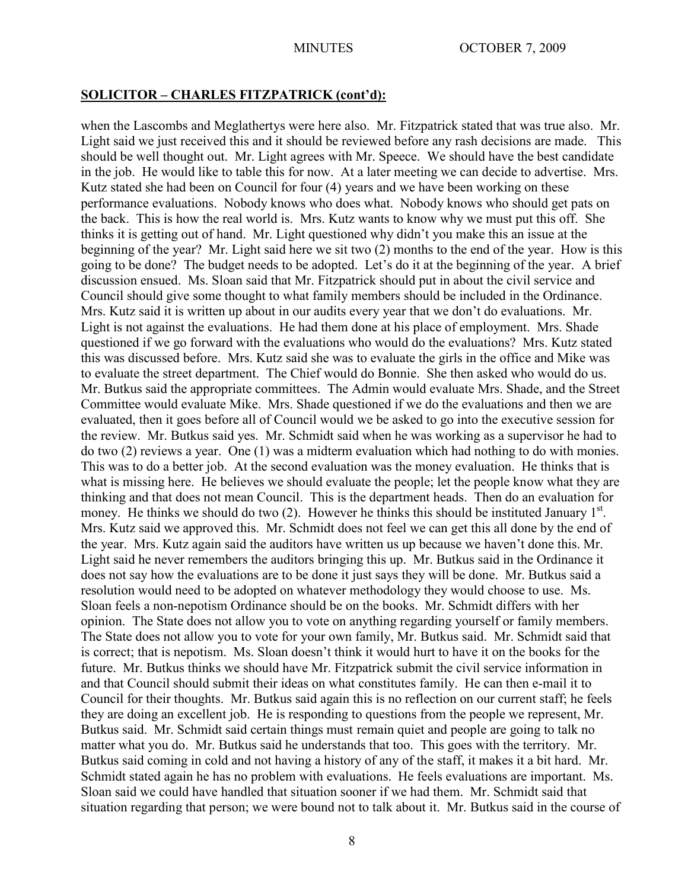when the Lascombs and Meglathertys were here also. Mr. Fitzpatrick stated that was true also. Mr. Light said we just received this and it should be reviewed before any rash decisions are made. This should be well thought out. Mr. Light agrees with Mr. Speece. We should have the best candidate in the job. He would like to table this for now. At a later meeting we can decide to advertise. Mrs. Kutz stated she had been on Council for four (4) years and we have been working on these performance evaluations. Nobody knows who does what. Nobody knows who should get pats on the back. This is how the real world is. Mrs. Kutz wants to know why we must put this off. She thinks it is getting out of hand. Mr. Light questioned why didn't you make this an issue at the beginning of the year? Mr. Light said here we sit two (2) months to the end of the year. How is this going to be done? The budget needs to be adopted. Let's do it at the beginning of the year. A brief discussion ensued. Ms. Sloan said that Mr. Fitzpatrick should put in about the civil service and Council should give some thought to what family members should be included in the Ordinance. Mrs. Kutz said it is written up about in our audits every year that we don't do evaluations. Mr. Light is not against the evaluations. He had them done at his place of employment. Mrs. Shade questioned if we go forward with the evaluations who would do the evaluations? Mrs. Kutz stated this was discussed before. Mrs. Kutz said she was to evaluate the girls in the office and Mike was to evaluate the street department. The Chief would do Bonnie. She then asked who would do us. Mr. Butkus said the appropriate committees. The Admin would evaluate Mrs. Shade, and the Street Committee would evaluate Mike. Mrs. Shade questioned if we do the evaluations and then we are evaluated, then it goes before all of Council would we be asked to go into the executive session for the review. Mr. Butkus said yes. Mr. Schmidt said when he was working as a supervisor he had to do two (2) reviews a year. One (1) was a midterm evaluation which had nothing to do with monies. This was to do a better job. At the second evaluation was the money evaluation. He thinks that is what is missing here. He believes we should evaluate the people; let the people know what they are thinking and that does not mean Council. This is the department heads. Then do an evaluation for money. He thinks we should do two  $(2)$ . However he thinks this should be instituted January  $1<sup>st</sup>$ . Mrs. Kutz said we approved this. Mr. Schmidt does not feel we can get this all done by the end of the year. Mrs. Kutz again said the auditors have written us up because we haven't done this. Mr. Light said he never remembers the auditors bringing this up. Mr. Butkus said in the Ordinance it does not say how the evaluations are to be done it just says they will be done. Mr. Butkus said a resolution would need to be adopted on whatever methodology they would choose to use. Ms. Sloan feels a non-nepotism Ordinance should be on the books. Mr. Schmidt differs with her opinion. The State does not allow you to vote on anything regarding yourself or family members. The State does not allow you to vote for your own family, Mr. Butkus said. Mr. Schmidt said that is correct; that is nepotism. Ms. Sloan doesn't think it would hurt to have it on the books for the future. Mr. Butkus thinks we should have Mr. Fitzpatrick submit the civil service information in and that Council should submit their ideas on what constitutes family. He can then e-mail it to Council for their thoughts. Mr. Butkus said again this is no reflection on our current staff; he feels they are doing an excellent job. He is responding to questions from the people we represent, Mr. Butkus said. Mr. Schmidt said certain things must remain quiet and people are going to talk no matter what you do. Mr. Butkus said he understands that too. This goes with the territory. Mr. Butkus said coming in cold and not having a history of any of the staff, it makes it a bit hard. Mr. Schmidt stated again he has no problem with evaluations. He feels evaluations are important. Ms. Sloan said we could have handled that situation sooner if we had them. Mr. Schmidt said that situation regarding that person; we were bound not to talk about it. Mr. Butkus said in the course of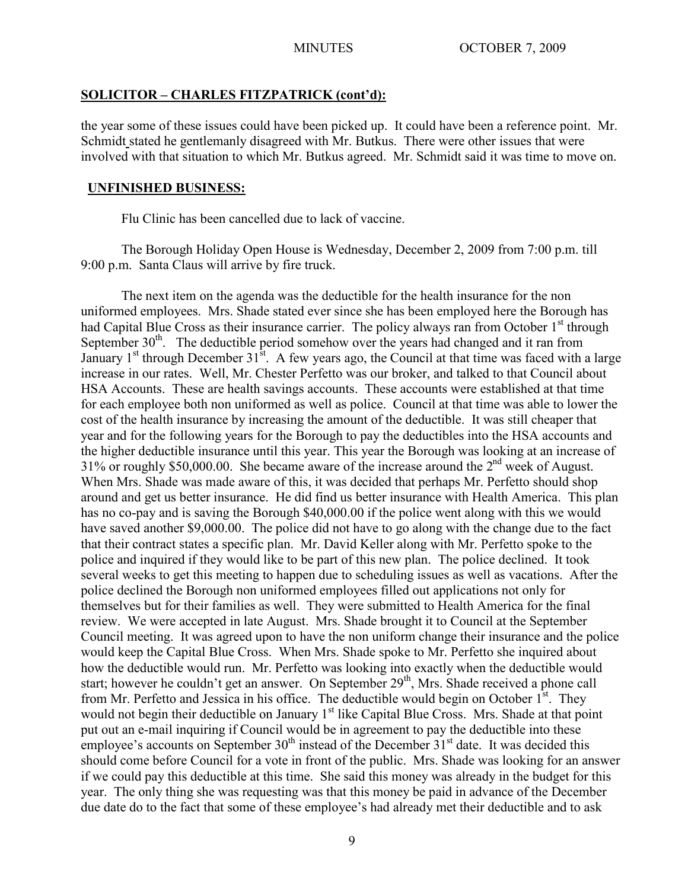the year some of these issues could have been picked up. It could have been a reference point. Mr. Schmidt stated he gentlemanly disagreed with Mr. Butkus. There were other issues that were involved with that situation to which Mr. Butkus agreed. Mr. Schmidt said it was time to move on.

#### **UNFINISHED BUSINESS:**

Flu Clinic has been cancelled due to lack of vaccine.

The Borough Holiday Open House is Wednesday, December 2, 2009 from 7:00 p.m. till 9:00 p.m. Santa Claus will arrive by fire truck.

The next item on the agenda was the deductible for the health insurance for the non uniformed employees. Mrs. Shade stated ever since she has been employed here the Borough has had Capital Blue Cross as their insurance carrier. The policy always ran from October 1<sup>st</sup> through September  $30<sup>th</sup>$ . The deductible period somehow over the years had changed and it ran from January  $1^{st}$  through December  $31^{st}$ . A few years ago, the Council at that time was faced with a large increase in our rates. Well, Mr. Chester Perfetto was our broker, and talked to that Council about HSA Accounts. These are health savings accounts. These accounts were established at that time for each employee both non uniformed as well as police. Council at that time was able to lower the cost of the health insurance by increasing the amount of the deductible. It was still cheaper that year and for the following years for the Borough to pay the deductibles into the HSA accounts and the higher deductible insurance until this year. This year the Borough was looking at an increase of 31% or roughly \$50,000.00. She became aware of the increase around the 2nd week of August. When Mrs. Shade was made aware of this, it was decided that perhaps Mr. Perfetto should shop around and get us better insurance. He did find us better insurance with Health America. This plan has no co-pay and is saving the Borough \$40,000.00 if the police went along with this we would have saved another \$9,000.00. The police did not have to go along with the change due to the fact that their contract states a specific plan. Mr. David Keller along with Mr. Perfetto spoke to the police and inquired if they would like to be part of this new plan. The police declined. It took several weeks to get this meeting to happen due to scheduling issues as well as vacations. After the police declined the Borough non uniformed employees filled out applications not only for themselves but for their families as well. They were submitted to Health America for the final review. We were accepted in late August. Mrs. Shade brought it to Council at the September Council meeting. It was agreed upon to have the non uniform change their insurance and the police would keep the Capital Blue Cross. When Mrs. Shade spoke to Mr. Perfetto she inquired about how the deductible would run. Mr. Perfetto was looking into exactly when the deductible would start; however he couldn't get an answer. On September 29<sup>th</sup>, Mrs. Shade received a phone call from Mr. Perfetto and Jessica in his office. The deductible would begin on October  $1<sup>st</sup>$ . They would not begin their deductible on January 1<sup>st</sup> like Capital Blue Cross. Mrs. Shade at that point put out an e-mail inquiring if Council would be in agreement to pay the deductible into these employee's accounts on September  $30<sup>th</sup>$  instead of the December  $31<sup>st</sup>$  date. It was decided this should come before Council for a vote in front of the public. Mrs. Shade was looking for an answer if we could pay this deductible at this time. She said this money was already in the budget for this year. The only thing she was requesting was that this money be paid in advance of the December due date do to the fact that some of these employee's had already met their deductible and to ask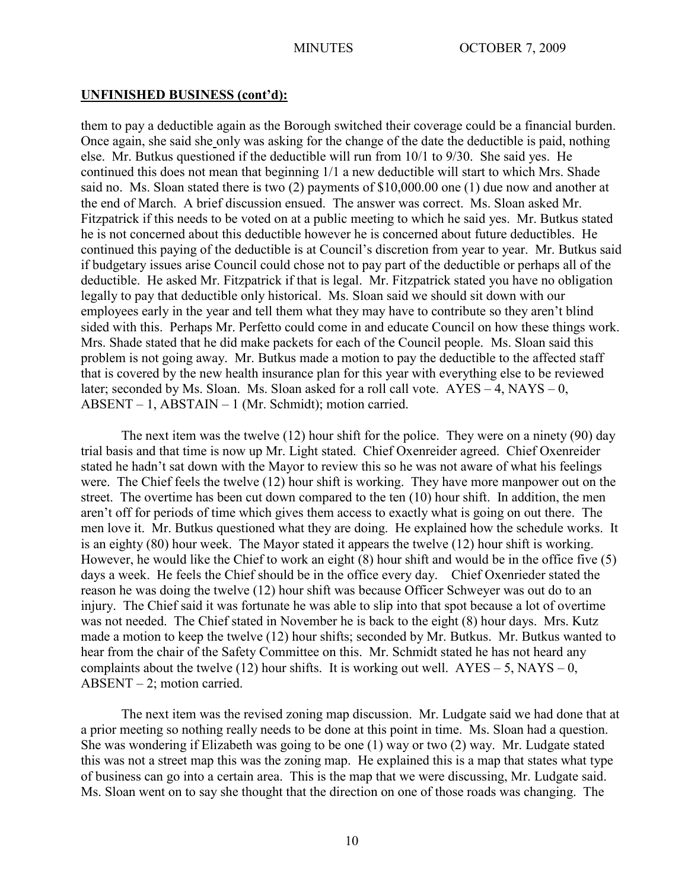#### **UNFINISHED BUSINESS (cont'd):**

them to pay a deductible again as the Borough switched their coverage could be a financial burden. Once again, she said she only was asking for the change of the date the deductible is paid, nothing else. Mr. Butkus questioned if the deductible will run from 10/1 to 9/30. She said yes. He continued this does not mean that beginning 1/1 a new deductible will start to which Mrs. Shade said no. Ms. Sloan stated there is two (2) payments of \$10,000.00 one (1) due now and another at the end of March. A brief discussion ensued. The answer was correct. Ms. Sloan asked Mr. Fitzpatrick if this needs to be voted on at a public meeting to which he said yes. Mr. Butkus stated he is not concerned about this deductible however he is concerned about future deductibles. He continued this paying of the deductible is at Council's discretion from year to year. Mr. Butkus said if budgetary issues arise Council could chose not to pay part of the deductible or perhaps all of the deductible. He asked Mr. Fitzpatrick if that is legal. Mr. Fitzpatrick stated you have no obligation legally to pay that deductible only historical. Ms. Sloan said we should sit down with our employees early in the year and tell them what they may have to contribute so they aren't blind sided with this. Perhaps Mr. Perfetto could come in and educate Council on how these things work. Mrs. Shade stated that he did make packets for each of the Council people. Ms. Sloan said this problem is not going away. Mr. Butkus made a motion to pay the deductible to the affected staff that is covered by the new health insurance plan for this year with everything else to be reviewed later; seconded by Ms. Sloan. Ms. Sloan asked for a roll call vote.  $AYES - 4$ ,  $NAYS - 0$ , ABSENT – 1, ABSTAIN – 1 (Mr. Schmidt); motion carried.

The next item was the twelve (12) hour shift for the police. They were on a ninety (90) day trial basis and that time is now up Mr. Light stated. Chief Oxenreider agreed. Chief Oxenreider stated he hadn't sat down with the Mayor to review this so he was not aware of what his feelings were. The Chief feels the twelve (12) hour shift is working. They have more manpower out on the street. The overtime has been cut down compared to the ten (10) hour shift. In addition, the men aren't off for periods of time which gives them access to exactly what is going on out there. The men love it. Mr. Butkus questioned what they are doing. He explained how the schedule works. It is an eighty (80) hour week. The Mayor stated it appears the twelve (12) hour shift is working. However, he would like the Chief to work an eight (8) hour shift and would be in the office five (5) days a week. He feels the Chief should be in the office every day. Chief Oxenrieder stated the reason he was doing the twelve (12) hour shift was because Officer Schweyer was out do to an injury. The Chief said it was fortunate he was able to slip into that spot because a lot of overtime was not needed. The Chief stated in November he is back to the eight (8) hour days. Mrs. Kutz made a motion to keep the twelve (12) hour shifts; seconded by Mr. Butkus. Mr. Butkus wanted to hear from the chair of the Safety Committee on this. Mr. Schmidt stated he has not heard any complaints about the twelve (12) hour shifts. It is working out well.  $AYES - 5$ ,  $NAYS - 0$ , ABSENT – 2; motion carried.

The next item was the revised zoning map discussion. Mr. Ludgate said we had done that at a prior meeting so nothing really needs to be done at this point in time. Ms. Sloan had a question. She was wondering if Elizabeth was going to be one (1) way or two (2) way. Mr. Ludgate stated this was not a street map this was the zoning map. He explained this is a map that states what type of business can go into a certain area. This is the map that we were discussing, Mr. Ludgate said. Ms. Sloan went on to say she thought that the direction on one of those roads was changing. The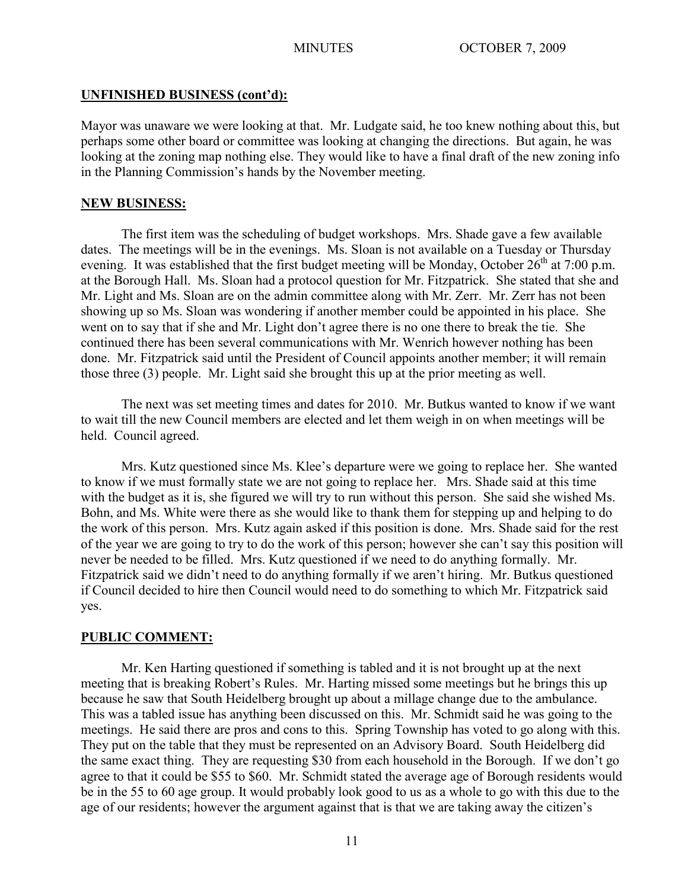## **UNFINISHED BUSINESS (cont'd):**

Mayor was unaware we were looking at that. Mr. Ludgate said, he too knew nothing about this, but perhaps some other board or committee was looking at changing the directions. But again, he was looking at the zoning map nothing else. They would like to have a final draft of the new zoning info in the Planning Commission's hands by the November meeting.

## **NEW BUSINESS:**

The first item was the scheduling of budget workshops. Mrs. Shade gave a few available dates. The meetings will be in the evenings. Ms. Sloan is not available on a Tuesday or Thursday evening. It was established that the first budget meeting will be Monday, October  $26<sup>th</sup>$  at 7:00 p.m. at the Borough Hall. Ms. Sloan had a protocol question for Mr. Fitzpatrick. She stated that she and Mr. Light and Ms. Sloan are on the admin committee along with Mr. Zerr. Mr. Zerr has not been showing up so Ms. Sloan was wondering if another member could be appointed in his place. She went on to say that if she and Mr. Light don't agree there is no one there to break the tie. She continued there has been several communications with Mr. Wenrich however nothing has been done. Mr. Fitzpatrick said until the President of Council appoints another member; it will remain those three (3) people. Mr. Light said she brought this up at the prior meeting as well.

The next was set meeting times and dates for 2010. Mr. Butkus wanted to know if we want to wait till the new Council members are elected and let them weigh in on when meetings will be held. Council agreed.

Mrs. Kutz questioned since Ms. Klee's departure were we going to replace her. She wanted to know if we must formally state we are not going to replace her. Mrs. Shade said at this time with the budget as it is, she figured we will try to run without this person. She said she wished Ms. Bohn, and Ms. White were there as she would like to thank them for stepping up and helping to do the work of this person. Mrs. Kutz again asked if this position is done. Mrs. Shade said for the rest of the year we are going to try to do the work of this person; however she can't say this position will never be needed to be filled. Mrs. Kutz questioned if we need to do anything formally. Mr. Fitzpatrick said we didn't need to do anything formally if we aren't hiring. Mr. Butkus questioned if Council decided to hire then Council would need to do something to which Mr. Fitzpatrick said yes.

## **PUBLIC COMMENT:**

Mr. Ken Harting questioned if something is tabled and it is not brought up at the next meeting that is breaking Robert's Rules. Mr. Harting missed some meetings but he brings this up because he saw that South Heidelberg brought up about a millage change due to the ambulance. This was a tabled issue has anything been discussed on this. Mr. Schmidt said he was going to the meetings. He said there are pros and cons to this. Spring Township has voted to go along with this. They put on the table that they must be represented on an Advisory Board. South Heidelberg did the same exact thing. They are requesting \$30 from each household in the Borough. If we don't go agree to that it could be \$55 to \$60. Mr. Schmidt stated the average age of Borough residents would be in the 55 to 60 age group. It would probably look good to us as a whole to go with this due to the age of our residents; however the argument against that is that we are taking away the citizen's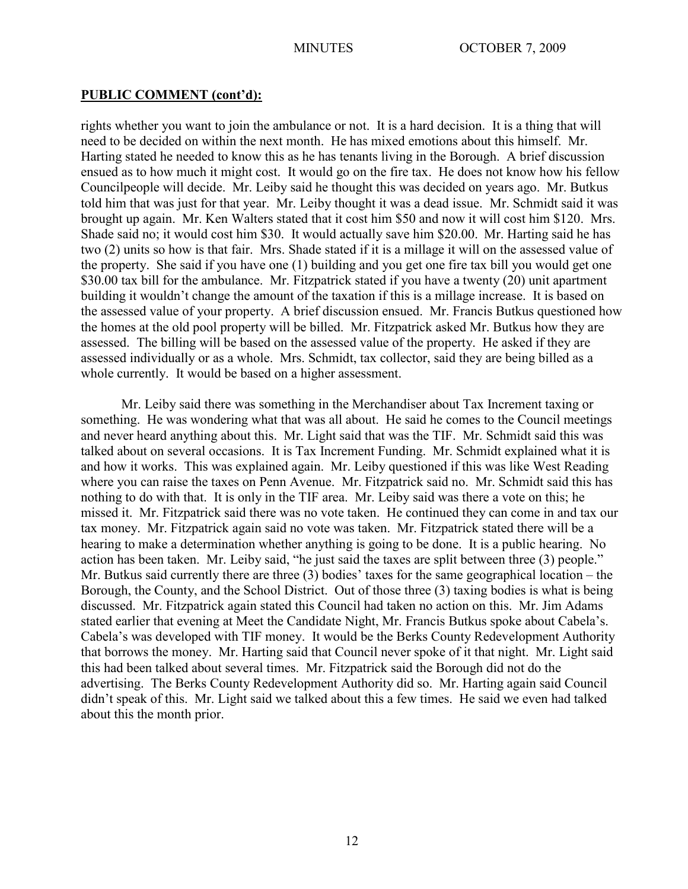#### **PUBLIC COMMENT (cont'd):**

rights whether you want to join the ambulance or not. It is a hard decision. It is a thing that will need to be decided on within the next month. He has mixed emotions about this himself. Mr. Harting stated he needed to know this as he has tenants living in the Borough. A brief discussion ensued as to how much it might cost. It would go on the fire tax. He does not know how his fellow Councilpeople will decide. Mr. Leiby said he thought this was decided on years ago. Mr. Butkus told him that was just for that year. Mr. Leiby thought it was a dead issue. Mr. Schmidt said it was brought up again. Mr. Ken Walters stated that it cost him \$50 and now it will cost him \$120. Mrs. Shade said no; it would cost him \$30. It would actually save him \$20.00. Mr. Harting said he has two (2) units so how is that fair. Mrs. Shade stated if it is a millage it will on the assessed value of the property. She said if you have one (1) building and you get one fire tax bill you would get one \$30.00 tax bill for the ambulance. Mr. Fitzpatrick stated if you have a twenty (20) unit apartment building it wouldn't change the amount of the taxation if this is a millage increase. It is based on the assessed value of your property. A brief discussion ensued. Mr. Francis Butkus questioned how the homes at the old pool property will be billed. Mr. Fitzpatrick asked Mr. Butkus how they are assessed. The billing will be based on the assessed value of the property. He asked if they are assessed individually or as a whole. Mrs. Schmidt, tax collector, said they are being billed as a whole currently. It would be based on a higher assessment.

Mr. Leiby said there was something in the Merchandiser about Tax Increment taxing or something. He was wondering what that was all about. He said he comes to the Council meetings and never heard anything about this. Mr. Light said that was the TIF. Mr. Schmidt said this was talked about on several occasions. It is Tax Increment Funding. Mr. Schmidt explained what it is and how it works. This was explained again. Mr. Leiby questioned if this was like West Reading where you can raise the taxes on Penn Avenue. Mr. Fitzpatrick said no. Mr. Schmidt said this has nothing to do with that. It is only in the TIF area. Mr. Leiby said was there a vote on this; he missed it. Mr. Fitzpatrick said there was no vote taken. He continued they can come in and tax our tax money. Mr. Fitzpatrick again said no vote was taken. Mr. Fitzpatrick stated there will be a hearing to make a determination whether anything is going to be done. It is a public hearing. No action has been taken. Mr. Leiby said, "he just said the taxes are split between three (3) people." Mr. Butkus said currently there are three (3) bodies' taxes for the same geographical location – the Borough, the County, and the School District. Out of those three (3) taxing bodies is what is being discussed. Mr. Fitzpatrick again stated this Council had taken no action on this. Mr. Jim Adams stated earlier that evening at Meet the Candidate Night, Mr. Francis Butkus spoke about Cabela's. Cabela's was developed with TIF money. It would be the Berks County Redevelopment Authority that borrows the money. Mr. Harting said that Council never spoke of it that night. Mr. Light said this had been talked about several times. Mr. Fitzpatrick said the Borough did not do the advertising. The Berks County Redevelopment Authority did so. Mr. Harting again said Council didn't speak of this. Mr. Light said we talked about this a few times. He said we even had talked about this the month prior.